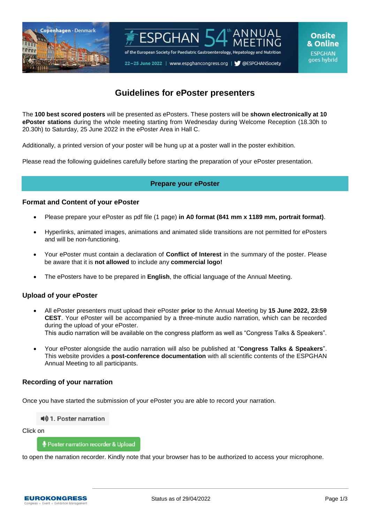



# **Guidelines for ePoster presenters**

The **100 best scored posters** will be presented as ePosters. These posters will be **shown electronically at 10 ePoster stations** during the whole meeting starting from Wednesday during Welcome Reception (18.30h to 20.30h) to Saturday, 25 June 2022 in the ePoster Area in Hall C.

Additionally, a printed version of your poster will be hung up at a poster wall in the poster exhibition.

Please read the following guidelines carefully before starting the preparation of your ePoster presentation.

## **Prepare your ePoster**

### **Format and Content of your ePoster**

- Please prepare your ePoster as pdf file (1 page) **in A0 format (841 mm x 1189 mm, portrait format)**.
- Hyperlinks, animated images, animations and animated slide transitions are not permitted for ePosters and will be non-functioning.
- Your ePoster must contain a declaration of **Conflict of Interest** in the summary of the poster. Please be aware that it is **not allowed** to include any **commercial logo!**
- The ePosters have to be prepared in **English**, the official language of the Annual Meeting.

## **Upload of your ePoster**

- All ePoster presenters must upload their ePoster **prior** to the Annual Meeting by **15 June 2022, 23:59 CEST**. Your ePoster will be accompanied by a three-minute audio narration, which can be recorded during the upload of your ePoster. This audio narration will be available on the congress platform as well as "Congress Talks & Speakers".
- Your ePoster alongside the audio narration will also be published at "**Congress Talks & Speakers**". This website provides a **post-conference documentation** with all scientific contents of the ESPGHAN Annual Meeting to all participants.

## **Recording of your narration**

Once you have started the submission of your ePoster you are able to record your narration.

■ 1. Poster narration

Click on

Poster narration recorder & Upload

to open the narration recorder. Kindly note that your browser has to be authorized to access your microphone.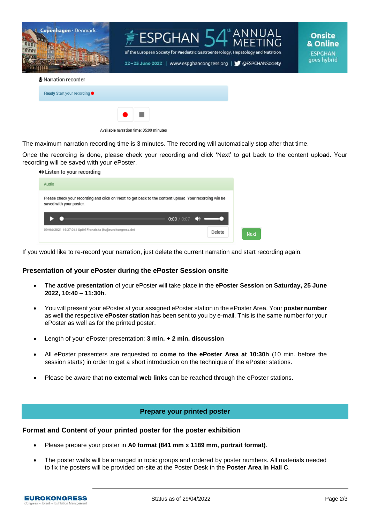



**Onsite** & Online **ESPGHAN** goes hybrid

#### **I** Narration recorder

| <b>Ready</b> Start your recording ●     |                          |  |
|-----------------------------------------|--------------------------|--|
|                                         | $\bullet$ $\blacksquare$ |  |
| Available narration time: 05:00 minutes |                          |  |

The maximum narration recording time is 3 minutes. The recording will automatically stop after that time.

Once the recording is done, please check your recording and click 'Next' to get back to the content upload. Your recording will be saved with your ePoster.

| ◀◈ Listen to your recording                                                                                                          |                             |        |             |
|--------------------------------------------------------------------------------------------------------------------------------------|-----------------------------|--------|-------------|
| Audio                                                                                                                                |                             |        |             |
| Please check your recording and click on 'Next' to get back to the content upload. Your recording will be<br>saved with your poster. |                             |        |             |
|                                                                                                                                      | 0:00 / 0:07 $\blacklozenge$ |        |             |
| 09/04/2021 16:37:04   Spörl Franziska (fs@eurokongress.de)                                                                           |                             | Delete | <b>Next</b> |

If you would like to re-record your narration, just delete the current narration and start recording again.

#### **Presentation of your ePoster during the ePoster Session onsite**

- The **active presentation** of your ePoster will take place in the **ePoster Session** on **Saturday, 25 June 2022, 10:40 – 11:30h**.
- You will present your ePoster at your assigned ePoster station in the ePoster Area. Your **poster number** as well the respective **ePoster station** has been sent to you by e-mail. This is the same number for your ePoster as well as for the printed poster.
- Length of your ePoster presentation: **3 min. + 2 min. discussion**
- All ePoster presenters are requested to **come to the ePoster Area at 10:30h** (10 min. before the session starts) in order to get a short introduction on the technique of the ePoster stations.
- Please be aware that **no external web links** can be reached through the ePoster stations.

## **Prepare your printed poster**

### **Format and Content of your printed poster for the poster exhibition**

- Please prepare your poster in **A0 format (841 mm x 1189 mm, portrait format)**.
- The poster walls will be arranged in topic groups and ordered by poster numbers. All materials needed to fix the posters will be provided on-site at the Poster Desk in the **Poster Area in Hall C**.